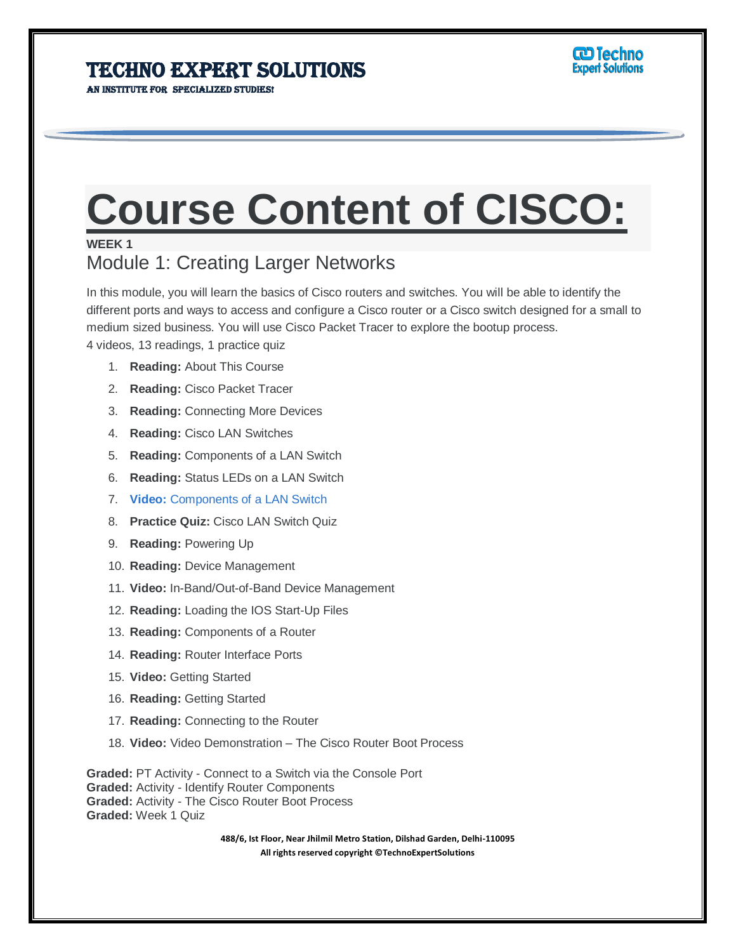AN INSTITUTE FOR SPECIALIZED STUDIES!

# **Course Content of CISCO:**

#### **WEEK 1**

### Module 1: Creating Larger Networks

In this module, you will learn the basics of Cisco routers and switches. You will be able to identify the different ports and ways to access and configure a Cisco router or a Cisco switch designed for a small to medium sized business. You will use Cisco Packet Tracer to explore the bootup process.

4 videos, 13 readings, 1 practice quiz

- 1. **Reading:** About This Course
- 2. **Reading:** Cisco Packet Tracer
- 3. **Reading:** Connecting More Devices
- 4. **Reading:** Cisco LAN Switches
- 5. **Reading:** Components of a LAN Switch
- 6. **Reading:** Status LEDs on a LAN Switch
- 7. **Video:** Components of a LAN Switch
- 8. **Practice Quiz:** Cisco LAN Switch Quiz
- 9. **Reading:** Powering Up
- 10. **Reading:** Device Management
- 11. **Video:** In-Band/Out-of-Band Device Management
- 12. **Reading:** Loading the IOS Start-Up Files
- 13. **Reading:** Components of a Router
- 14. **Reading:** Router Interface Ports
- 15. **Video:** Getting Started
- 16. **Reading:** Getting Started
- 17. **Reading:** Connecting to the Router
- 18. **Video:** Video Demonstration The Cisco Router Boot Process

**Graded:** PT Activity - Connect to a Switch via the Console Port **Graded:** Activity - Identify Router Components **Graded:** Activity - The Cisco Router Boot Process **Graded:** Week 1 Quiz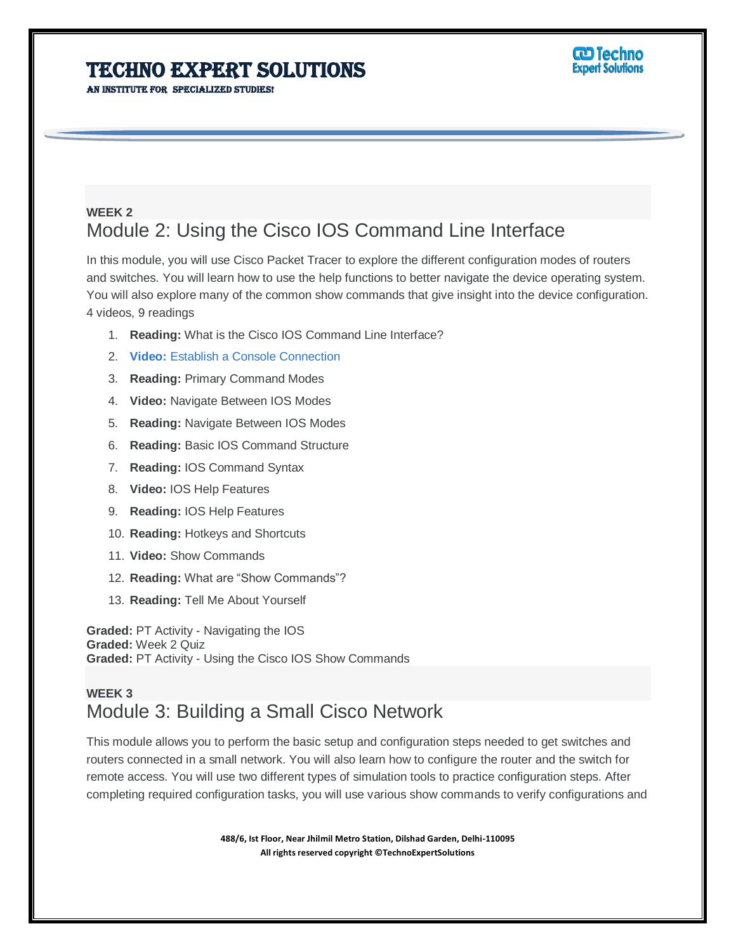AN INSTITUTE FOR SPECIALIZED STUDIES!



#### **WEEK 2** Module 2: Using the Cisco IOS Command Line Interface

In this module, you will use Cisco Packet Tracer to explore the different configuration modes of routers and switches. You will learn how to use the help functions to better navigate the device operating system. You will also explore many of the common show commands that give insight into the device configuration. 4 videos, 9 readings

- 1. **Reading:** What is the Cisco IOS Command Line Interface?
- 2. **Video:** Establish a Console Connection
- 3. **Reading:** Primary Command Modes
- 4. **Video:** Navigate Between IOS Modes
- 5. **Reading:** Navigate Between IOS Modes
- 6. **Reading:** Basic IOS Command Structure
- 7. **Reading:** IOS Command Syntax
- 8. **Video:** IOS Help Features
- 9. **Reading:** IOS Help Features
- 10. **Reading:** Hotkeys and Shortcuts
- 11. **Video:** Show Commands
- 12. **Reading:** What are "Show Commands"?
- 13. **Reading:** Tell Me About Yourself

**Graded:** PT Activity - Navigating the IOS **Graded:** Week 2 Quiz **Graded:** PT Activity - Using the Cisco IOS Show Commands

#### **WEEK 3** Module 3: Building a Small Cisco Network

This module allows you to perform the basic setup and configuration steps needed to get switches and routers connected in a small network. You will also learn how to configure the router and the switch for remote access. You will use two different types of simulation tools to practice configuration steps. After completing required configuration tasks, you will use various show commands to verify configurations and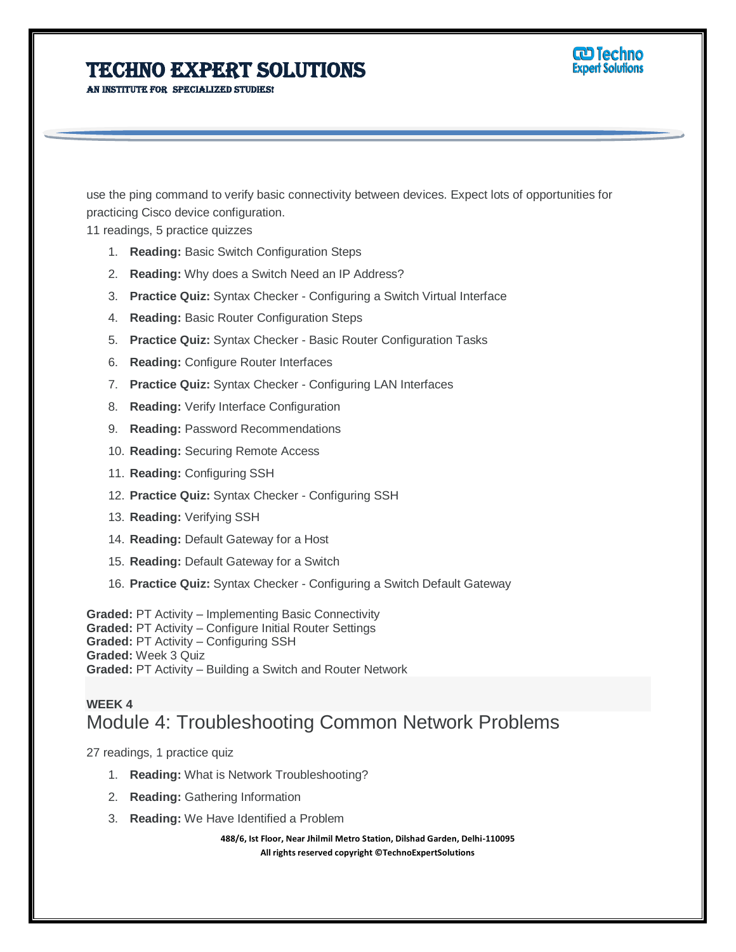AN INSTITUTE FOR SPECIALIZED STUDIES!

use the ping command to verify basic connectivity between devices. Expect lots of opportunities for practicing Cisco device configuration.

<u>ලා Techno</u> **Expert Solutions** 

11 readings, 5 practice quizzes

- 1. **Reading:** Basic Switch Configuration Steps
- 2. **Reading:** Why does a Switch Need an IP Address?
- 3. **Practice Quiz:** Syntax Checker Configuring a Switch Virtual Interface
- 4. **Reading:** Basic Router Configuration Steps
- 5. **Practice Quiz:** Syntax Checker Basic Router Configuration Tasks
- 6. **Reading:** Configure Router Interfaces
- 7. **Practice Quiz:** Syntax Checker Configuring LAN Interfaces
- 8. **Reading:** Verify Interface Configuration
- 9. **Reading:** Password Recommendations
- 10. **Reading:** Securing Remote Access
- 11. **Reading:** Configuring SSH
- 12. **Practice Quiz:** Syntax Checker Configuring SSH
- 13. **Reading:** Verifying SSH
- 14. **Reading:** Default Gateway for a Host
- 15. **Reading:** Default Gateway for a Switch
- 16. **Practice Quiz:** Syntax Checker Configuring a Switch Default Gateway

**Graded:** PT Activity – Implementing Basic Connectivity **Graded:** PT Activity – Configure Initial Router Settings **Graded:** PT Activity – Configuring SSH **Graded:** Week 3 Quiz **Graded:** PT Activity – Building a Switch and Router Network

#### **WEEK 4** Module 4: Troubleshooting Common Network Problems

27 readings, 1 practice quiz

- 1. **Reading:** What is Network Troubleshooting?
- 2. **Reading:** Gathering Information
- 3. **Reading:** We Have Identified a Problem